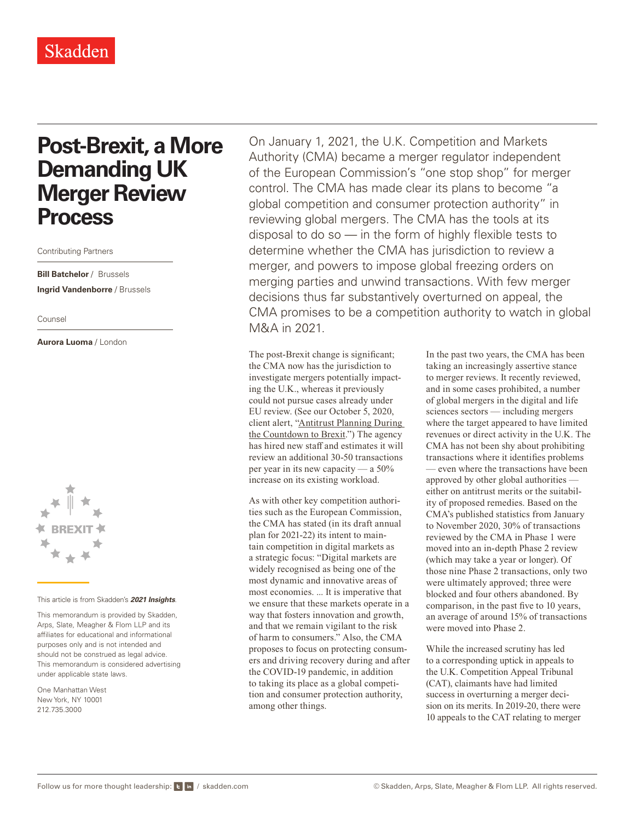## **Post-Brexit, a More Demanding UK Merger Review Process**

Contributing Partners

**Bill Batchelor** / Brussels **Ingrid Vandenborre** / Brussels

Counsel

**Aurora Luoma** / London



## This article is from Skadden's *[2021 Insights](https://www.skadden.com/insights/publications/2021/01/2021-insights/2021-insights)*.

This memorandum is provided by Skadden, Arps, Slate, Meagher & Flom LLP and its affiliates for educational and informational purposes only and is not intended and should not be construed as legal advice. This memorandum is considered advertising under applicable state laws.

One Manhattan West New York, NY 10001 212.735.3000

On January 1, 2021, the U.K. Competition and Markets Authority (CMA) became a merger regulator independent of the European Commission's "one stop shop" for merger control. The CMA has made clear its plans to become "a global competition and consumer protection authority" in reviewing global mergers. The CMA has the tools at its disposal to do so — in the form of highly flexible tests to determine whether the CMA has jurisdiction to review a merger, and powers to impose global freezing orders on merging parties and unwind transactions. With few merger decisions thus far substantively overturned on appeal, the CMA promises to be a competition authority to watch in global M&A in 2021.

The post-Brexit change is significant; the CMA now has the jurisdiction to investigate mergers potentially impacting the U.K., whereas it previously could not pursue cases already under EU review. (See our October 5, 2020, client alert, ["Antitrust Planning During](https://www.skadden.com/insights/publications/2020/10/antitrust-planning-during-the-countdown-to-brexit)  [the Countdown to Brexit](https://www.skadden.com/insights/publications/2020/10/antitrust-planning-during-the-countdown-to-brexit).") The agency has hired new staff and estimates it will review an additional 30-50 transactions per year in its new capacity — a 50% increase on its existing workload.

As with other key competition authorities such as the European Commission, the CMA has stated (in its draft annual plan for 2021-22) its intent to maintain competition in digital markets as a strategic focus: "Digital markets are widely recognised as being one of the most dynamic and innovative areas of most economies. ... It is imperative that we ensure that these markets operate in a way that fosters innovation and growth, and that we remain vigilant to the risk of harm to consumers." Also, the CMA proposes to focus on protecting consumers and driving recovery during and after the COVID-19 pandemic, in addition to taking its place as a global competition and consumer protection authority, among other things.

In the past two years, the CMA has been taking an increasingly assertive stance to merger reviews. It recently reviewed, and in some cases prohibited, a number of global mergers in the digital and life sciences sectors — including mergers where the target appeared to have limited revenues or direct activity in the U.K. The CMA has not been shy about prohibiting transactions where it identifies problems — even where the transactions have been approved by other global authorities either on antitrust merits or the suitability of proposed remedies. Based on the CMA's published statistics from January to November 2020, 30% of transactions reviewed by the CMA in Phase 1 were moved into an in-depth Phase 2 review (which may take a year or longer). Of those nine Phase 2 transactions, only two were ultimately approved; three were blocked and four others abandoned. By comparison, in the past five to 10 years, an average of around 15% of transactions were moved into Phase 2.

While the increased scrutiny has led to a corresponding uptick in appeals to the U.K. Competition Appeal Tribunal (CAT), claimants have had limited success in overturning a merger decision on its merits. In 2019-20, there were 10 appeals to the CAT relating to merger